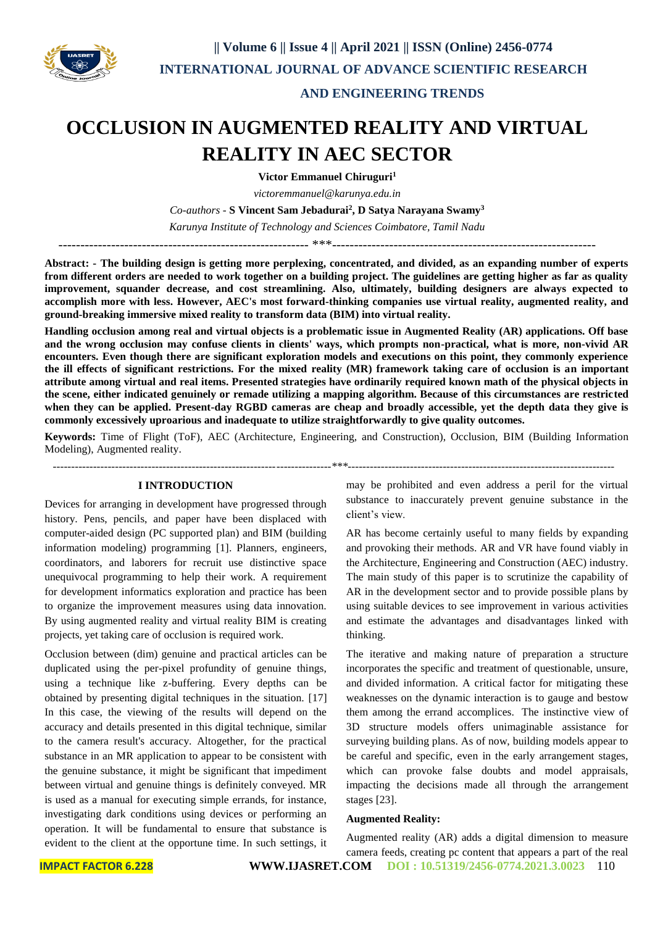

## **AND ENGINEERING TRENDS**

# **OCCLUSION IN AUGMENTED REALITY AND VIRTUAL REALITY IN AEC SECTOR**

**Victor Emmanuel Chiruguri<sup>1</sup>**

*victoremmanuel@karunya.edu.in*

*Co-authors -* **S Vincent Sam Jebadurai<sup>2</sup> , D Satya Narayana Swamy<sup>3</sup>**

*Karunya Institute of Technology and Sciences Coimbatore, Tamil Nadu*

--------------------------------------------------------- \*\*\*------------------------------------------------------------

**Abstract: - The building design is getting more perplexing, concentrated, and divided, as an expanding number of experts from different orders are needed to work together on a building project. The guidelines are getting higher as far as quality improvement, squander decrease, and cost streamlining. Also, ultimately, building designers are always expected to accomplish more with less. However, AEC's most forward-thinking companies use virtual reality, augmented reality, and ground-breaking immersive mixed reality to transform data (BIM) into virtual reality.**

**Handling occlusion among real and virtual objects is a problematic issue in Augmented Reality (AR) applications. Off base and the wrong occlusion may confuse clients in clients' ways, which prompts non-practical, what is more, non-vivid AR encounters. Even though there are significant exploration models and executions on this point, they commonly experience the ill effects of significant restrictions. For the mixed reality (MR) framework taking care of occlusion is an important attribute among virtual and real items. Presented strategies have ordinarily required known math of the physical objects in the scene, either indicated genuinely or remade utilizing a mapping algorithm. Because of this circumstances are restricted when they can be applied. Present-day RGBD cameras are cheap and broadly accessible, yet the depth data they give is commonly excessively uproarious and inadequate to utilize straightforwardly to give quality outcomes.**

**Keywords:** Time of Flight (ToF), AEC (Architecture, Engineering, and Construction), Occlusion, BIM (Building Information Modeling), Augmented reality.

*----------------------------------------------------------------------------\*\*\*-------------------------------------------------------------------------*

#### **I INTRODUCTION**

Devices for arranging in development have progressed through history. Pens, pencils, and paper have been displaced with computer-aided design (PC supported plan) and BIM (building information modeling) programming [1]. Planners, engineers, coordinators, and laborers for recruit use distinctive space unequivocal programming to help their work. A requirement for development informatics exploration and practice has been to organize the improvement measures using data innovation. By using augmented reality and virtual reality BIM is creating projects, yet taking care of occlusion is required work.

Occlusion between (dim) genuine and practical articles can be duplicated using the per-pixel profundity of genuine things, using a technique like z-buffering. Every depths can be obtained by presenting digital techniques in the situation. [17] In this case, the viewing of the results will depend on the accuracy and details presented in this digital technique, similar to the camera result's accuracy. Altogether, for the practical substance in an MR application to appear to be consistent with the genuine substance, it might be significant that impediment between virtual and genuine things is definitely conveyed. MR is used as a manual for executing simple errands, for instance, investigating dark conditions using devices or performing an operation. It will be fundamental to ensure that substance is evident to the client at the opportune time. In such settings, it may be prohibited and even address a peril for the virtual substance to inaccurately prevent genuine substance in the client's view.

AR has become certainly useful to many fields by expanding and provoking their methods. AR and VR have found viably in the Architecture, Engineering and Construction (AEC) industry. The main study of this paper is to scrutinize the capability of AR in the development sector and to provide possible plans by using suitable devices to see improvement in various activities and estimate the advantages and disadvantages linked with thinking.

The iterative and making nature of preparation a structure incorporates the specific and treatment of questionable, unsure, and divided information. A critical factor for mitigating these weaknesses on the dynamic interaction is to gauge and bestow them among the errand accomplices. The instinctive view of 3D structure models offers unimaginable assistance for surveying building plans. As of now, building models appear to be careful and specific, even in the early arrangement stages, which can provoke false doubts and model appraisals, impacting the decisions made all through the arrangement stages [23].

#### **Augmented Reality:**

Augmented reality (AR) adds a digital dimension to measure camera feeds, creating pc content that appears a part of the real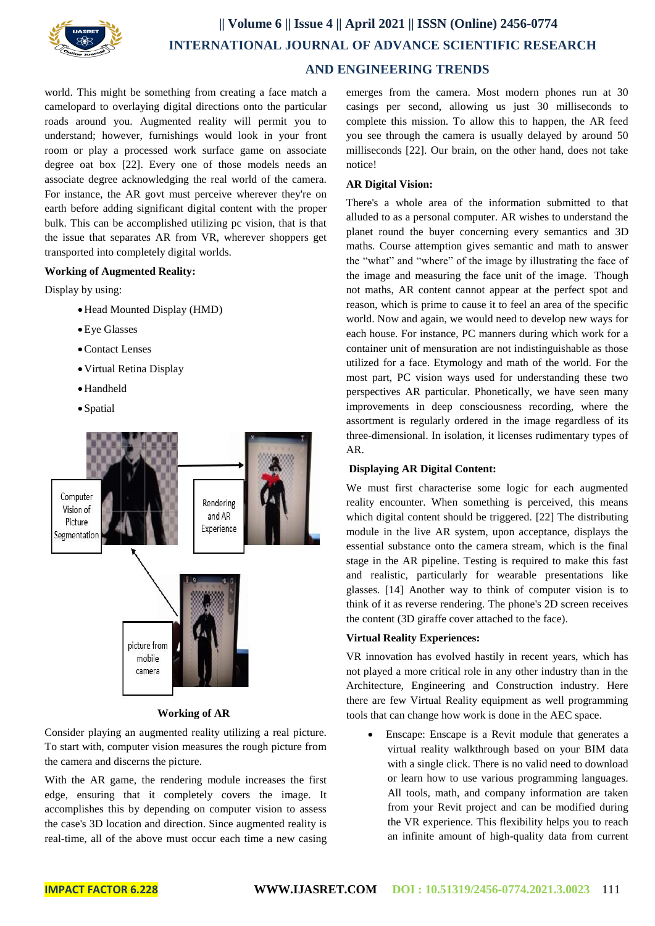

world. This might be something from creating a face match a camelopard to overlaying digital directions onto the particular roads around you. Augmented reality will permit you to understand; however, furnishings would look in your front room or play a processed work surface game on associate degree oat box [22]. Every one of those models needs an associate degree acknowledging the real world of the camera. For instance, the AR govt must perceive wherever they're on earth before adding significant digital content with the proper bulk. This can be accomplished utilizing pc vision, that is that the issue that separates AR from VR, wherever shoppers get transported into completely digital worlds.

## **Working of Augmented Reality:**

Display by using:

- Head Mounted Display (HMD)
- Eye Glasses
- Contact Lenses
- Virtual Retina Display
- Handheld
- Spatial



#### **Working of AR**

Consider playing an augmented reality utilizing a real picture. To start with, computer vision measures the rough picture from the camera and discerns the picture.

With the AR game, the rendering module increases the first edge, ensuring that it completely covers the image. It accomplishes this by depending on computer vision to assess the case's 3D location and direction. Since augmented reality is real-time, all of the above must occur each time a new casing emerges from the camera. Most modern phones run at 30 casings per second, allowing us just 30 milliseconds to complete this mission. To allow this to happen, the AR feed you see through the camera is usually delayed by around 50 milliseconds [22]. Our brain, on the other hand, does not take notice!

#### **AR Digital Vision:**

There's a whole area of the information submitted to that alluded to as a personal computer. AR wishes to understand the planet round the buyer concerning every semantics and 3D maths. Course attemption gives semantic and math to answer the "what" and "where" of the image by illustrating the face of the image and measuring the face unit of the image. Though not maths, AR content cannot appear at the perfect spot and reason, which is prime to cause it to feel an area of the specific world. Now and again, we would need to develop new ways for each house. For instance, PC manners during which work for a container unit of mensuration are not indistinguishable as those utilized for a face. Etymology and math of the world. For the most part, PC vision ways used for understanding these two perspectives AR particular. Phonetically, we have seen many improvements in deep consciousness recording, where the assortment is regularly ordered in the image regardless of its three-dimensional. In isolation, it licenses rudimentary types of AR.

#### **Displaying AR Digital Content:**

We must first characterise some logic for each augmented reality encounter. When something is perceived, this means which digital content should be triggered. [22] The distributing module in the live AR system, upon acceptance, displays the essential substance onto the camera stream, which is the final stage in the AR pipeline. Testing is required to make this fast and realistic, particularly for wearable presentations like glasses. [14] Another way to think of computer vision is to think of it as reverse rendering. The phone's 2D screen receives the content (3D giraffe cover attached to the face).

### **Virtual Reality Experiences:**

VR innovation has evolved hastily in recent years, which has not played a more critical role in any other industry than in the Architecture, Engineering and Construction industry. Here there are few Virtual Reality equipment as well programming tools that can change how work is done in the AEC space.

 Enscape: Enscape is a Revit module that generates a virtual reality walkthrough based on your BIM data with a single click. There is no valid need to download or learn how to use various programming languages. All tools, math, and company information are taken from your Revit project and can be modified during the VR experience. This flexibility helps you to reach an infinite amount of high-quality data from current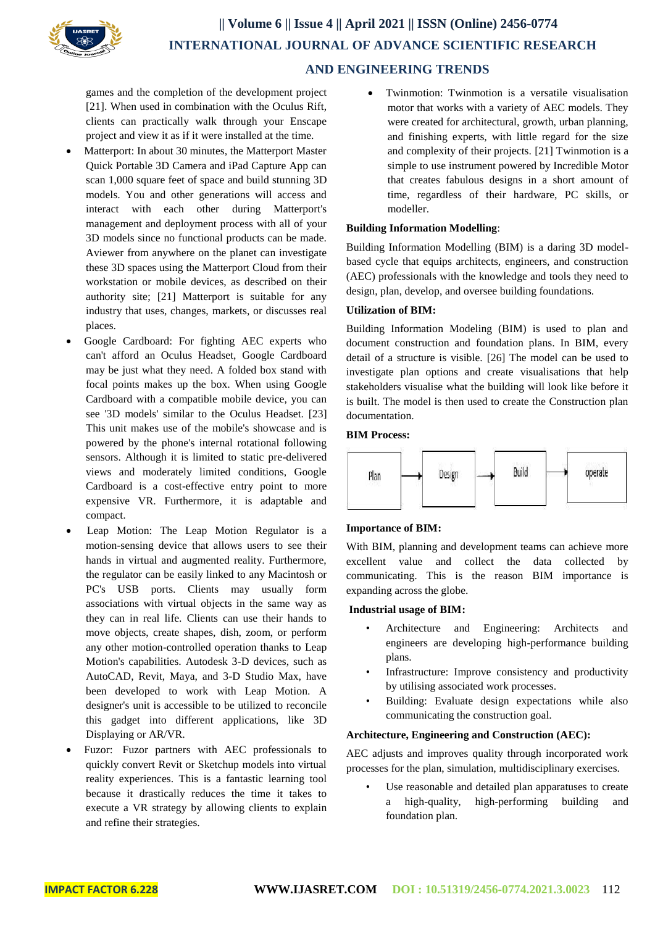

games and the completion of the development project [21]. When used in combination with the Oculus Rift, clients can practically walk through your Enscape project and view it as if it were installed at the time.

- Matterport: In about 30 minutes, the Matterport Master Quick Portable 3D Camera and iPad Capture App can scan 1,000 square feet of space and build stunning 3D models. You and other generations will access and interact with each other during Matterport's management and deployment process with all of your 3D models since no functional products can be made. Aviewer from anywhere on the planet can investigate these 3D spaces using the Matterport Cloud from their workstation or mobile devices, as described on their authority site; [21] Matterport is suitable for any industry that uses, changes, markets, or discusses real places.
- Google Cardboard: For fighting AEC experts who can't afford an Oculus Headset, Google Cardboard may be just what they need. A folded box stand with focal points makes up the box. When using Google Cardboard with a compatible mobile device, you can see '3D models' similar to the Oculus Headset. [23] This unit makes use of the mobile's showcase and is powered by the phone's internal rotational following sensors. Although it is limited to static pre-delivered views and moderately limited conditions, Google Cardboard is a cost-effective entry point to more expensive VR. Furthermore, it is adaptable and compact.
- Leap Motion: The Leap Motion Regulator is a motion-sensing device that allows users to see their hands in virtual and augmented reality. Furthermore, the regulator can be easily linked to any Macintosh or PC's USB ports. Clients may usually form associations with virtual objects in the same way as they can in real life. Clients can use their hands to move objects, create shapes, dish, zoom, or perform any other motion-controlled operation thanks to Leap Motion's capabilities. Autodesk 3-D devices, such as AutoCAD, Revit, Maya, and 3-D Studio Max, have been developed to work with Leap Motion. A designer's unit is accessible to be utilized to reconcile this gadget into different applications, like 3D Displaying or AR/VR.
- Fuzor: Fuzor partners with AEC professionals to quickly convert Revit or Sketchup models into virtual reality experiences. This is a fantastic learning tool because it drastically reduces the time it takes to execute a VR strategy by allowing clients to explain and refine their strategies.

 Twinmotion: Twinmotion is a versatile visualisation motor that works with a variety of AEC models. They were created for architectural, growth, urban planning, and finishing experts, with little regard for the size and complexity of their projects. [21] Twinmotion is a simple to use instrument powered by Incredible Motor that creates fabulous designs in a short amount of time, regardless of their hardware, PC skills, or modeller.

## **Building Information Modelling**:

Building Information Modelling (BIM) is a daring 3D modelbased cycle that equips architects, engineers, and construction (AEC) professionals with the knowledge and tools they need to design, plan, develop, and oversee building foundations.

## **Utilization of BIM:**

Building Information Modeling (BIM) is used to plan and document construction and foundation plans. In BIM, every detail of a structure is visible. [26] The model can be used to investigate plan options and create visualisations that help stakeholders visualise what the building will look like before it is built. The model is then used to create the Construction plan documentation.

#### **BIM Process:**



#### **Importance of BIM:**

With BIM, planning and development teams can achieve more excellent value and collect the data collected by communicating. This is the reason BIM importance is expanding across the globe.

### **Industrial usage of BIM:**

- Architecture and Engineering: Architects and engineers are developing high-performance building plans.
- Infrastructure: Improve consistency and productivity by utilising associated work processes.
- Building: Evaluate design expectations while also communicating the construction goal.

#### **Architecture, Engineering and Construction (AEC):**

AEC adjusts and improves quality through incorporated work processes for the plan, simulation, multidisciplinary exercises.

Use reasonable and detailed plan apparatuses to create a high-quality, high-performing building and foundation plan.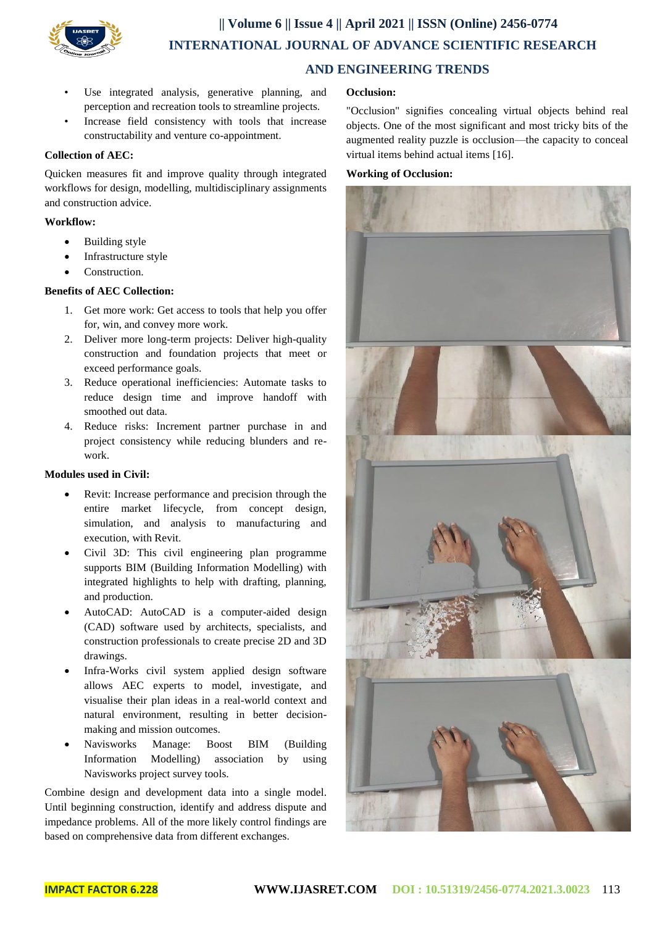

- Use integrated analysis, generative planning, and perception and recreation tools to streamline projects.
- Increase field consistency with tools that increase constructability and venture co-appointment.

## **Collection of AEC:**

Quicken measures fit and improve quality through integrated workflows for design, modelling, multidisciplinary assignments and construction advice.

## **Workflow:**

- Building style
- Infrastructure style
- Construction.

## **Benefits of AEC Collection:**

- 1. Get more work: Get access to tools that help you offer for, win, and convey more work.
- 2. Deliver more long-term projects: Deliver high-quality construction and foundation projects that meet or exceed performance goals.
- 3. Reduce operational inefficiencies: Automate tasks to reduce design time and improve handoff with smoothed out data.
- 4. Reduce risks: Increment partner purchase in and project consistency while reducing blunders and rework.

## **Modules used in Civil:**

- Revit: Increase performance and precision through the entire market lifecycle, from concept design, simulation, and analysis to manufacturing and execution, with Revit.
- Civil 3D: This civil engineering plan programme supports BIM (Building Information Modelling) with integrated highlights to help with drafting, planning, and production.
- AutoCAD: AutoCAD is a computer-aided design (CAD) software used by architects, specialists, and construction professionals to create precise 2D and 3D drawings.
- Infra-Works civil system applied design software allows AEC experts to model, investigate, and visualise their plan ideas in a real-world context and natural environment, resulting in better decisionmaking and mission outcomes.
- Navisworks Manage: Boost BIM (Building Information Modelling) association by using Navisworks project survey tools.

Combine design and development data into a single model. Until beginning construction, identify and address dispute and impedance problems. All of the more likely control findings are based on comprehensive data from different exchanges.

## **Occlusion:**

"Occlusion" signifies concealing virtual objects behind real objects. One of the most significant and most tricky bits of the augmented reality puzzle is occlusion—the capacity to conceal virtual items behind actual items [16].

## **Working of Occlusion:**

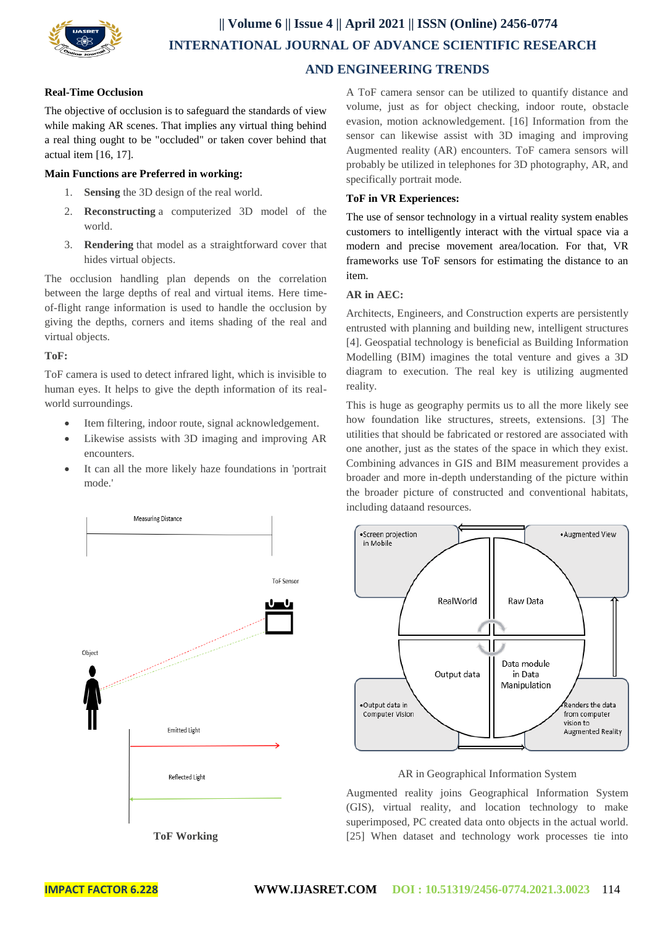

## **Real-Time Occlusion**

The objective of occlusion is to safeguard the standards of view while making AR scenes. That implies any virtual thing behind a real thing ought to be "occluded" or taken cover behind that actual item [16, 17].

## **Main Functions are Preferred in working:**

- 1. **Sensing** the 3D design of the real world.
- 2. **Reconstructing** a computerized 3D model of the world.
- 3. **Rendering** that model as a straightforward cover that hides virtual objects.

The occlusion handling plan depends on the correlation between the large depths of real and virtual items. Here timeof-flight range information is used to handle the occlusion by giving the depths, corners and items shading of the real and virtual objects.

## **ToF:**

ToF camera is used to detect infrared light, which is invisible to human eyes. It helps to give the depth information of its realworld surroundings.

- Item filtering, indoor route, signal acknowledgement.
- Likewise assists with 3D imaging and improving AR encounters.
- It can all the more likely haze foundations in 'portrait mode.'

Measuring Distance

A ToF camera sensor can be utilized to quantify distance and volume, just as for object checking, indoor route, obstacle evasion, motion acknowledgement. [16] Information from the sensor can likewise assist with 3D imaging and improving Augmented reality (AR) encounters. ToF camera sensors will probably be utilized in telephones for 3D photography, AR, and specifically portrait mode.

## **ToF in VR Experiences:**

The use of sensor technology in a virtual reality system enables customers to intelligently interact with the virtual space via a modern and precise movement area/location. For that, VR frameworks use ToF sensors for estimating the distance to an item.

## **AR in AEC:**

Architects, Engineers, and Construction experts are persistently entrusted with planning and building new, intelligent structures [4]. Geospatial technology is beneficial as Building Information Modelling (BIM) imagines the total venture and gives a 3D diagram to execution. The real key is utilizing augmented reality.

This is huge as geography permits us to all the more likely see how foundation like structures, streets, extensions. [3] The utilities that should be fabricated or restored are associated with one another, just as the states of the space in which they exist. Combining advances in GIS and BIM measurement provides a broader and more in-depth understanding of the picture within the broader picture of constructed and conventional habitats, including dataand resources.



#### AR in Geographical Information System

Augmented reality joins Geographical Information System (GIS), virtual reality, and location technology to make superimposed, PC created data onto objects in the actual world. [25] When dataset and technology work processes tie into



**ToF Working**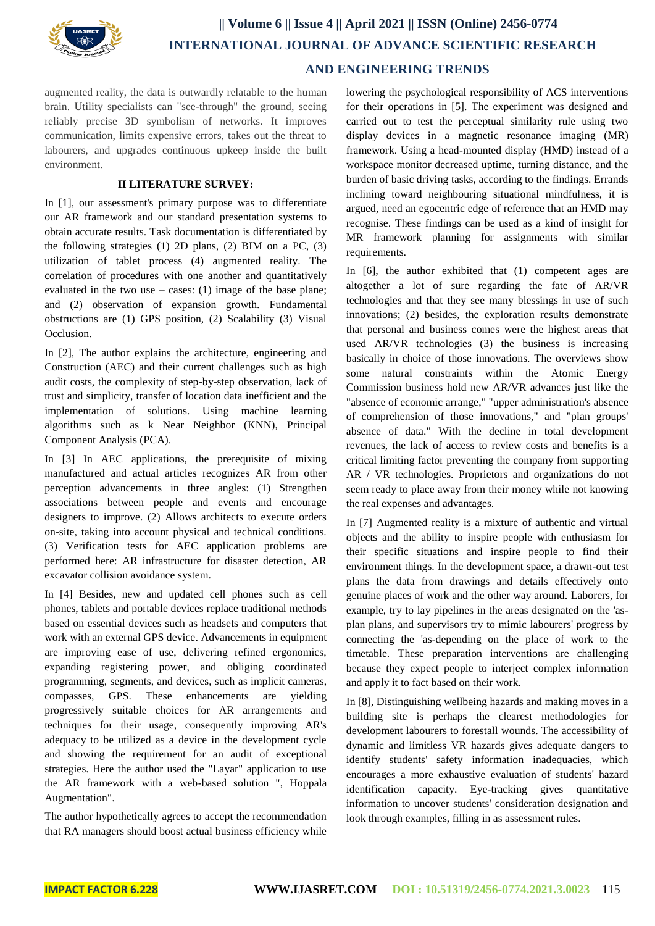

augmented reality, the data is outwardly relatable to the human brain. Utility specialists can "see-through" the ground, seeing reliably precise 3D symbolism of networks. It improves communication, limits expensive errors, takes out the threat to labourers, and upgrades continuous upkeep inside the built environment.

### **II LITERATURE SURVEY:**

In [1], our assessment's primary purpose was to differentiate our AR framework and our standard presentation systems to obtain accurate results. Task documentation is differentiated by the following strategies (1) 2D plans, (2) BIM on a PC, (3) utilization of tablet process (4) augmented reality. The correlation of procedures with one another and quantitatively evaluated in the two use – cases: (1) image of the base plane; and (2) observation of expansion growth. Fundamental obstructions are (1) GPS position, (2) Scalability (3) Visual Occlusion.

In [2], The author explains the architecture, engineering and Construction (AEC) and their current challenges such as high audit costs, the complexity of step-by-step observation, lack of trust and simplicity, transfer of location data inefficient and the implementation of solutions. Using machine learning algorithms such as k Near Neighbor (KNN), Principal Component Analysis (PCA).

In [3] In AEC applications, the prerequisite of mixing manufactured and actual articles recognizes AR from other perception advancements in three angles: (1) Strengthen associations between people and events and encourage designers to improve. (2) Allows architects to execute orders on-site, taking into account physical and technical conditions. (3) Verification tests for AEC application problems are performed here: AR infrastructure for disaster detection, AR excavator collision avoidance system.

In [4] Besides, new and updated cell phones such as cell phones, tablets and portable devices replace traditional methods based on essential devices such as headsets and computers that work with an external GPS device. Advancements in equipment are improving ease of use, delivering refined ergonomics, expanding registering power, and obliging coordinated programming, segments, and devices, such as implicit cameras, compasses, GPS. These enhancements are yielding progressively suitable choices for AR arrangements and techniques for their usage, consequently improving AR's adequacy to be utilized as a device in the development cycle and showing the requirement for an audit of exceptional strategies. Here the author used the "Layar" application to use the AR framework with a web-based solution ", Hoppala Augmentation".

The author hypothetically agrees to accept the recommendation that RA managers should boost actual business efficiency while lowering the psychological responsibility of ACS interventions for their operations in [5]. The experiment was designed and carried out to test the perceptual similarity rule using two display devices in a magnetic resonance imaging (MR) framework. Using a head-mounted display (HMD) instead of a workspace monitor decreased uptime, turning distance, and the burden of basic driving tasks, according to the findings. Errands inclining toward neighbouring situational mindfulness, it is argued, need an egocentric edge of reference that an HMD may recognise. These findings can be used as a kind of insight for MR framework planning for assignments with similar requirements.

In [6], the author exhibited that (1) competent ages are altogether a lot of sure regarding the fate of AR/VR technologies and that they see many blessings in use of such innovations; (2) besides, the exploration results demonstrate that personal and business comes were the highest areas that used AR/VR technologies (3) the business is increasing basically in choice of those innovations. The overviews show some natural constraints within the Atomic Energy Commission business hold new AR/VR advances just like the "absence of economic arrange," "upper administration's absence of comprehension of those innovations," and "plan groups' absence of data." With the decline in total development revenues, the lack of access to review costs and benefits is a critical limiting factor preventing the company from supporting AR / VR technologies. Proprietors and organizations do not seem ready to place away from their money while not knowing the real expenses and advantages.

In [7] Augmented reality is a mixture of authentic and virtual objects and the ability to inspire people with enthusiasm for their specific situations and inspire people to find their environment things. In the development space, a drawn-out test plans the data from drawings and details effectively onto genuine places of work and the other way around. Laborers, for example, try to lay pipelines in the areas designated on the 'asplan plans, and supervisors try to mimic labourers' progress by connecting the 'as-depending on the place of work to the timetable. These preparation interventions are challenging because they expect people to interject complex information and apply it to fact based on their work.

In [8], Distinguishing wellbeing hazards and making moves in a building site is perhaps the clearest methodologies for development labourers to forestall wounds. The accessibility of dynamic and limitless VR hazards gives adequate dangers to identify students' safety information inadequacies, which encourages a more exhaustive evaluation of students' hazard identification capacity. Eye-tracking gives quantitative information to uncover students' consideration designation and look through examples, filling in as assessment rules.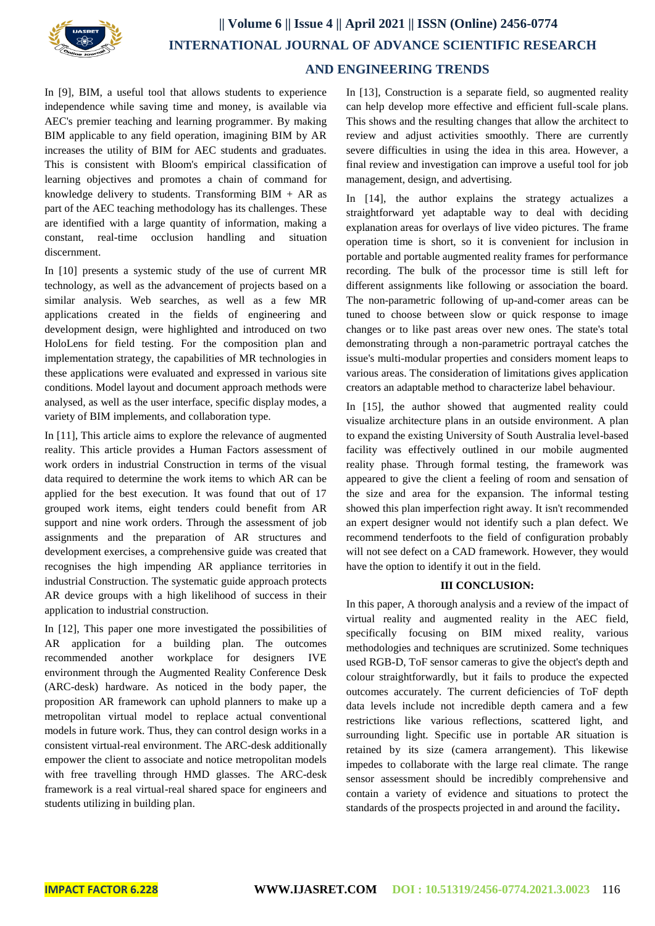

In [9], BIM, a useful tool that allows students to experience independence while saving time and money, is available via AEC's premier teaching and learning programmer. By making BIM applicable to any field operation, imagining BIM by AR increases the utility of BIM for AEC students and graduates. This is consistent with Bloom's empirical classification of learning objectives and promotes a chain of command for knowledge delivery to students. Transforming  $BIM + AR$  as part of the AEC teaching methodology has its challenges. These are identified with a large quantity of information, making a constant, real-time occlusion handling and situation discernment.

In [10] presents a systemic study of the use of current MR technology, as well as the advancement of projects based on a similar analysis. Web searches, as well as a few MR applications created in the fields of engineering and development design, were highlighted and introduced on two HoloLens for field testing. For the composition plan and implementation strategy, the capabilities of MR technologies in these applications were evaluated and expressed in various site conditions. Model layout and document approach methods were analysed, as well as the user interface, specific display modes, a variety of BIM implements, and collaboration type.

In [11], This article aims to explore the relevance of augmented reality. This article provides a Human Factors assessment of work orders in industrial Construction in terms of the visual data required to determine the work items to which AR can be applied for the best execution. It was found that out of 17 grouped work items, eight tenders could benefit from AR support and nine work orders. Through the assessment of job assignments and the preparation of AR structures and development exercises, a comprehensive guide was created that recognises the high impending AR appliance territories in industrial Construction. The systematic guide approach protects AR device groups with a high likelihood of success in their application to industrial construction.

In [12], This paper one more investigated the possibilities of AR application for a building plan. The outcomes recommended another workplace for designers IVE environment through the Augmented Reality Conference Desk (ARC-desk) hardware. As noticed in the body paper, the proposition AR framework can uphold planners to make up a metropolitan virtual model to replace actual conventional models in future work. Thus, they can control design works in a consistent virtual-real environment. The ARC-desk additionally empower the client to associate and notice metropolitan models with free travelling through HMD glasses. The ARC-desk framework is a real virtual-real shared space for engineers and students utilizing in building plan.

In [13], Construction is a separate field, so augmented reality can help develop more effective and efficient full-scale plans. This shows and the resulting changes that allow the architect to review and adjust activities smoothly. There are currently severe difficulties in using the idea in this area. However, a final review and investigation can improve a useful tool for job management, design, and advertising.

In [14], the author explains the strategy actualizes a straightforward yet adaptable way to deal with deciding explanation areas for overlays of live video pictures. The frame operation time is short, so it is convenient for inclusion in portable and portable augmented reality frames for performance recording. The bulk of the processor time is still left for different assignments like following or association the board. The non-parametric following of up-and-comer areas can be tuned to choose between slow or quick response to image changes or to like past areas over new ones. The state's total demonstrating through a non-parametric portrayal catches the issue's multi-modular properties and considers moment leaps to various areas. The consideration of limitations gives application creators an adaptable method to characterize label behaviour.

In [15], the author showed that augmented reality could visualize architecture plans in an outside environment. A plan to expand the existing University of South Australia level-based facility was effectively outlined in our mobile augmented reality phase. Through formal testing, the framework was appeared to give the client a feeling of room and sensation of the size and area for the expansion. The informal testing showed this plan imperfection right away. It isn't recommended an expert designer would not identify such a plan defect. We recommend tenderfoots to the field of configuration probably will not see defect on a CAD framework. However, they would have the option to identify it out in the field.

#### **III CONCLUSION:**

In this paper, A thorough analysis and a review of the impact of virtual reality and augmented reality in the AEC field, specifically focusing on BIM mixed reality, various methodologies and techniques are scrutinized. Some techniques used RGB-D, ToF sensor cameras to give the object's depth and colour straightforwardly, but it fails to produce the expected outcomes accurately. The current deficiencies of ToF depth data levels include not incredible depth camera and a few restrictions like various reflections, scattered light, and surrounding light. Specific use in portable AR situation is retained by its size (camera arrangement). This likewise impedes to collaborate with the large real climate. The range sensor assessment should be incredibly comprehensive and contain a variety of evidence and situations to protect the standards of the prospects projected in and around the facility**.**